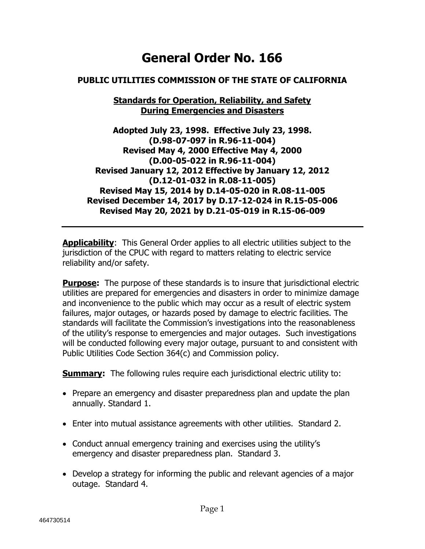# **General Order No. 166**

#### **PUBLIC UTILITIES COMMISSION OF THE STATE OF CALIFORNIA**

#### **Standards for Operation, Reliability, and Safety During Emergencies and Disasters**

**Adopted July 23, 1998. Effective July 23, 1998. (D.98-07-097 in R.96-11-004) Revised May 4, 2000 Effective May 4, 2000 (D.00-05-022 in R.96-11-004) Revised January 12, 2012 Effective by January 12, 2012 (D.12-01-032 in R.08-11-005) Revised May 15, 2014 by D.14-05-020 in R.08-11-005 Revised December 14, 2017 by D.17-12-024 in R.15-05-006 Revised May 20, 2021 by D.21-05-019 in R.15-06-009**

**Applicability**: This General Order applies to all electric utilities subject to the jurisdiction of the CPUC with regard to matters relating to electric service reliability and/or safety.

**Purpose:** The purpose of these standards is to insure that jurisdictional electric utilities are prepared for emergencies and disasters in order to minimize damage and inconvenience to the public which may occur as a result of electric system failures, major outages, or hazards posed by damage to electric facilities. The standards will facilitate the Commission's investigations into the reasonableness of the utility's response to emergencies and major outages. Such investigations will be conducted following every major outage, pursuant to and consistent with Public Utilities Code Section 364(c) and Commission policy.

**Summary:** The following rules require each jurisdictional electric utility to:

- Prepare an emergency and disaster preparedness plan and update the plan annually. Standard 1.
- Enter into mutual assistance agreements with other utilities. Standard 2.
- Conduct annual emergency training and exercises using the utility's emergency and disaster preparedness plan. Standard 3.
- Develop a strategy for informing the public and relevant agencies of a major outage. Standard 4.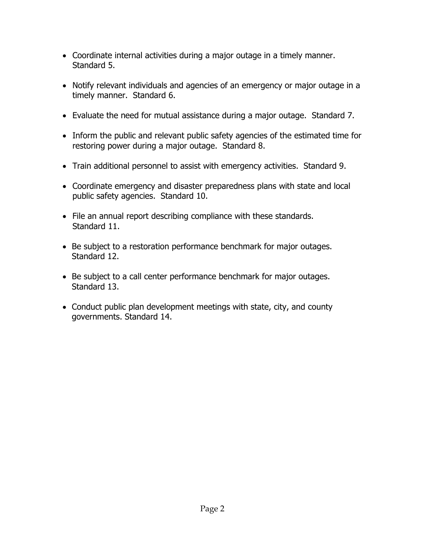- Coordinate internal activities during a major outage in a timely manner. Standard 5.
- Notify relevant individuals and agencies of an emergency or major outage in a timely manner. Standard 6.
- Evaluate the need for mutual assistance during a major outage. Standard 7.
- Inform the public and relevant public safety agencies of the estimated time for restoring power during a major outage. Standard 8.
- Train additional personnel to assist with emergency activities. Standard 9.
- Coordinate emergency and disaster preparedness plans with state and local public safety agencies. Standard 10.
- File an annual report describing compliance with these standards. Standard 11.
- Be subject to a restoration performance benchmark for major outages. Standard 12.
- Be subject to a call center performance benchmark for major outages. Standard 13.
- Conduct public plan development meetings with state, city, and county governments. Standard 14.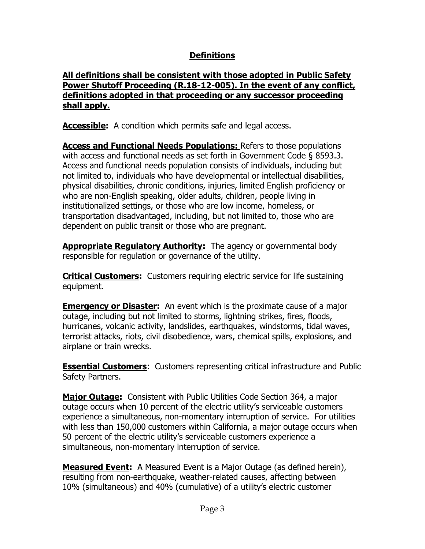# **Definitions**

#### **All definitions shall be consistent with those adopted in Public Safety Power Shutoff Proceeding (R.18-12-005). In the event of any conflict, definitions adopted in that proceeding or any successor proceeding shall apply.**

**Accessible:** A condition which permits safe and legal access.

**Access and Functional Needs Populations:** Refers to those populations with access and functional needs as set forth in Government Code § 8593.3. Access and functional needs population consists of individuals, including but not limited to, individuals who have developmental or intellectual disabilities, physical disabilities, chronic conditions, injuries, limited English proficiency or who are non-English speaking, older adults, children, people living in institutionalized settings, or those who are low income, homeless, or transportation disadvantaged, including, but not limited to, those who are dependent on public transit or those who are pregnant.

**Appropriate Regulatory Authority:** The agency or governmental body responsible for regulation or governance of the utility.

**Critical Customers:** Customers requiring electric service for life sustaining equipment.

**Emergency or Disaster:** An event which is the proximate cause of a major outage, including but not limited to storms, lightning strikes, fires, floods, hurricanes, volcanic activity, landslides, earthquakes, windstorms, tidal waves, terrorist attacks, riots, civil disobedience, wars, chemical spills, explosions, and airplane or train wrecks.

**Essential Customers**: Customers representing critical infrastructure and Public Safety Partners.

**Major Outage:** Consistent with Public Utilities Code Section 364, a major outage occurs when 10 percent of the electric utility's serviceable customers experience a simultaneous, non-momentary interruption of service. For utilities with less than 150,000 customers within California, a major outage occurs when 50 percent of the electric utility's serviceable customers experience a simultaneous, non-momentary interruption of service.

**Measured Event:** A Measured Event is a Major Outage (as defined herein), resulting from non-earthquake, weather-related causes, affecting between 10% (simultaneous) and 40% (cumulative) of a utility's electric customer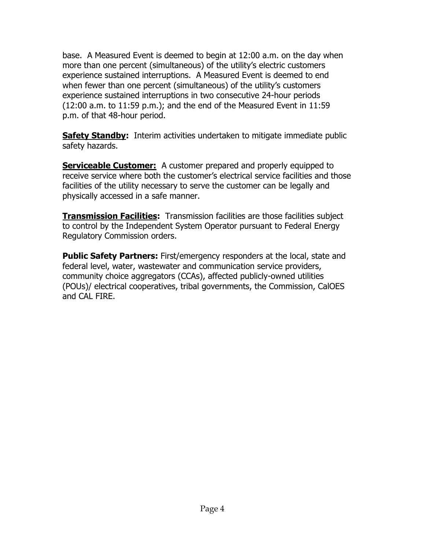base. A Measured Event is deemed to begin at 12:00 a.m. on the day when more than one percent (simultaneous) of the utility's electric customers experience sustained interruptions. A Measured Event is deemed to end when fewer than one percent (simultaneous) of the utility's customers experience sustained interruptions in two consecutive 24-hour periods (12:00 a.m. to 11:59 p.m.); and the end of the Measured Event in 11:59 p.m. of that 48-hour period.

**Safety Standby:** Interim activities undertaken to mitigate immediate public safety hazards.

**Serviceable Customer:** A customer prepared and properly equipped to receive service where both the customer's electrical service facilities and those facilities of the utility necessary to serve the customer can be legally and physically accessed in a safe manner.

**Transmission Facilities:** Transmission facilities are those facilities subject to control by the Independent System Operator pursuant to Federal Energy Regulatory Commission orders.

**Public Safety Partners:** First/emergency responders at the local, state and federal level, water, wastewater and communication service providers, community choice aggregators (CCAs), affected publicly-owned utilities (POUs)/ electrical cooperatives, tribal governments, the Commission, CalOES and CAL FIRE.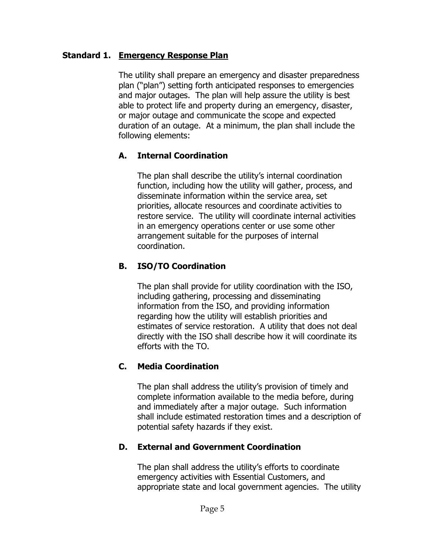#### **Standard 1. Emergency Response Plan**

The utility shall prepare an emergency and disaster preparedness plan ("plan") setting forth anticipated responses to emergencies and major outages. The plan will help assure the utility is best able to protect life and property during an emergency, disaster, or major outage and communicate the scope and expected duration of an outage. At a minimum, the plan shall include the following elements:

## **A. Internal Coordination**

The plan shall describe the utility's internal coordination function, including how the utility will gather, process, and disseminate information within the service area, set priorities, allocate resources and coordinate activities to restore service. The utility will coordinate internal activities in an emergency operations center or use some other arrangement suitable for the purposes of internal coordination.

## **B. ISO/TO Coordination**

The plan shall provide for utility coordination with the ISO, including gathering, processing and disseminating information from the ISO, and providing information regarding how the utility will establish priorities and estimates of service restoration. A utility that does not deal directly with the ISO shall describe how it will coordinate its efforts with the TO.

## **C. Media Coordination**

The plan shall address the utility's provision of timely and complete information available to the media before, during and immediately after a major outage. Such information shall include estimated restoration times and a description of potential safety hazards if they exist.

## **D. External and Government Coordination**

The plan shall address the utility's efforts to coordinate emergency activities with Essential Customers, and appropriate state and local government agencies. The utility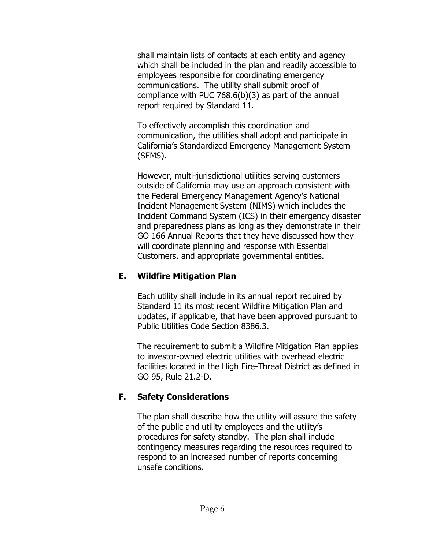shall maintain lists of contacts at each entity and agency which shall be included in the plan and readily accessible to employees responsible for coordinating emergency communications. The utility shall submit proof of compliance with PUC 768.6(b)(3) as part of the annual report required by Standard 11.

To effectively accomplish this coordination and communication, the utilities shall adopt and participate in California's Standardized Emergency Management System (SEMS).

However, multi-jurisdictional utilities serving customers outside of California may use an approach consistent with the Federal Emergency Management Agency's National Incident Management System (NIMS) which includes the Incident Command System (ICS) in their emergency disaster and preparedness plans as long as they demonstrate in their GO 166 Annual Reports that they have discussed how they will coordinate planning and response with Essential Customers, and appropriate governmental entities.

# **E. Wildfire Mitigation Plan**

Each utility shall include in its annual report required by Standard 11 its most recent Wildfire Mitigation Plan and updates, if applicable, that have been approved pursuant to Public Utilities Code Section 8386.3.

The requirement to submit a Wildfire Mitigation Plan applies to investor-owned electric utilities with overhead electric facilities located in the High Fire-Threat District as defined in GO 95, Rule 21.2-D.

# **F. Safety Considerations**

The plan shall describe how the utility will assure the safety of the public and utility employees and the utility's procedures for safety standby. The plan shall include contingency measures regarding the resources required to respond to an increased number of reports concerning unsafe conditions.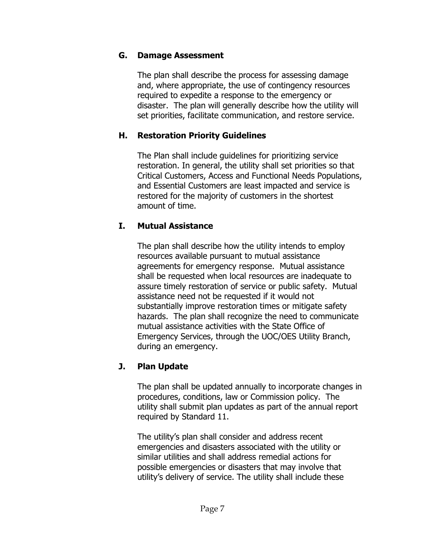## **G. Damage Assessment**

The plan shall describe the process for assessing damage and, where appropriate, the use of contingency resources required to expedite a response to the emergency or disaster. The plan will generally describe how the utility will set priorities, facilitate communication, and restore service.

## **H. Restoration Priority Guidelines**

The Plan shall include guidelines for prioritizing service restoration. In general, the utility shall set priorities so that Critical Customers, Access and Functional Needs Populations, and Essential Customers are least impacted and service is restored for the majority of customers in the shortest amount of time.

# **I. Mutual Assistance**

The plan shall describe how the utility intends to employ resources available pursuant to mutual assistance agreements for emergency response. Mutual assistance shall be requested when local resources are inadequate to assure timely restoration of service or public safety. Mutual assistance need not be requested if it would not substantially improve restoration times or mitigate safety hazards. The plan shall recognize the need to communicate mutual assistance activities with the State Office of Emergency Services, through the UOC/OES Utility Branch, during an emergency.

# **J. Plan Update**

The plan shall be updated annually to incorporate changes in procedures, conditions, law or Commission policy. The utility shall submit plan updates as part of the annual report required by Standard 11.

The utility's plan shall consider and address recent emergencies and disasters associated with the utility or similar utilities and shall address remedial actions for possible emergencies or disasters that may involve that utility's delivery of service. The utility shall include these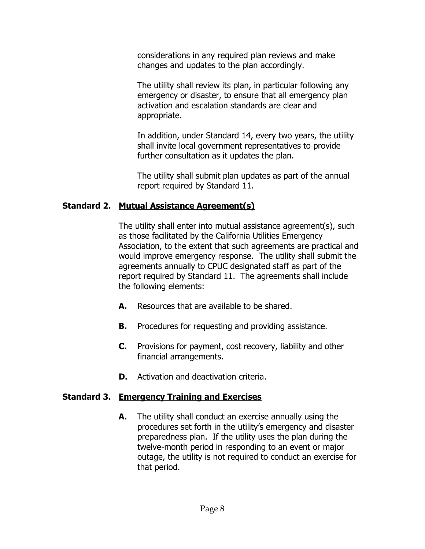considerations in any required plan reviews and make changes and updates to the plan accordingly.

The utility shall review its plan, in particular following any emergency or disaster, to ensure that all emergency plan activation and escalation standards are clear and appropriate.

In addition, under Standard 14, every two years, the utility shall invite local government representatives to provide further consultation as it updates the plan.

The utility shall submit plan updates as part of the annual report required by Standard 11.

## **Standard 2. Mutual Assistance Agreement(s)**

The utility shall enter into mutual assistance agreement(s), such as those facilitated by the California Utilities Emergency Association, to the extent that such agreements are practical and would improve emergency response. The utility shall submit the agreements annually to CPUC designated staff as part of the report required by Standard 11. The agreements shall include the following elements:

- **A.** Resources that are available to be shared.
- **B.** Procedures for requesting and providing assistance.
- **C.** Provisions for payment, cost recovery, liability and other financial arrangements.
- **D.** Activation and deactivation criteria.

## **Standard 3. Emergency Training and Exercises**

**A.** The utility shall conduct an exercise annually using the procedures set forth in the utility's emergency and disaster preparedness plan. If the utility uses the plan during the twelve-month period in responding to an event or major outage, the utility is not required to conduct an exercise for that period.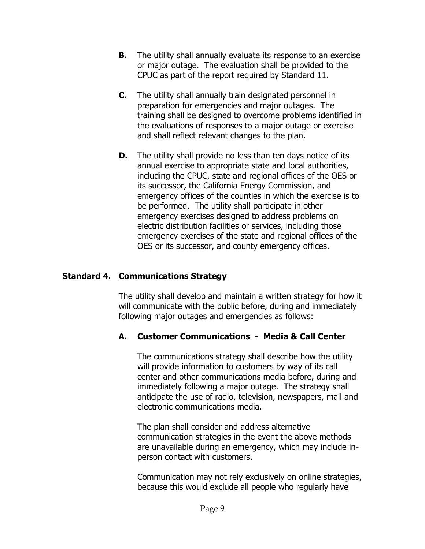- **B.** The utility shall annually evaluate its response to an exercise or major outage. The evaluation shall be provided to the CPUC as part of the report required by Standard 11.
- **C.** The utility shall annually train designated personnel in preparation for emergencies and major outages. The training shall be designed to overcome problems identified in the evaluations of responses to a major outage or exercise and shall reflect relevant changes to the plan.
- **D.** The utility shall provide no less than ten days notice of its annual exercise to appropriate state and local authorities, including the CPUC, state and regional offices of the OES or its successor, the California Energy Commission, and emergency offices of the counties in which the exercise is to be performed. The utility shall participate in other emergency exercises designed to address problems on electric distribution facilities or services, including those emergency exercises of the state and regional offices of the OES or its successor, and county emergency offices.

# **Standard 4. Communications Strategy**

The utility shall develop and maintain a written strategy for how it will communicate with the public before, during and immediately following major outages and emergencies as follows:

## **A. Customer Communications - Media & Call Center**

The communications strategy shall describe how the utility will provide information to customers by way of its call center and other communications media before, during and immediately following a major outage. The strategy shall anticipate the use of radio, television, newspapers, mail and electronic communications media.

The plan shall consider and address alternative communication strategies in the event the above methods are unavailable during an emergency, which may include inperson contact with customers.

Communication may not rely exclusively on online strategies, because this would exclude all people who regularly have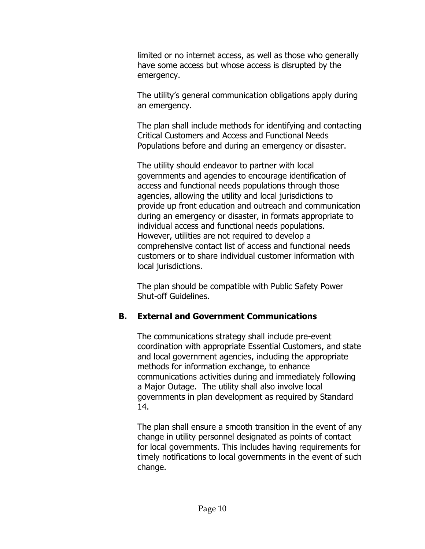limited or no internet access, as well as those who generally have some access but whose access is disrupted by the emergency.

The utility's general communication obligations apply during an emergency.

The plan shall include methods for identifying and contacting Critical Customers and Access and Functional Needs Populations before and during an emergency or disaster.

The utility should endeavor to partner with local governments and agencies to encourage identification of access and functional needs populations through those agencies, allowing the utility and local jurisdictions to provide up front education and outreach and communication during an emergency or disaster, in formats appropriate to individual access and functional needs populations. However, utilities are not required to develop a comprehensive contact list of access and functional needs customers or to share individual customer information with local jurisdictions.

The plan should be compatible with Public Safety Power Shut-off Guidelines.

# **B. External and Government Communications**

The communications strategy shall include pre-event coordination with appropriate Essential Customers, and state and local government agencies, including the appropriate methods for information exchange, to enhance communications activities during and immediately following a Major Outage. The utility shall also involve local governments in plan development as required by Standard 14.

The plan shall ensure a smooth transition in the event of any change in utility personnel designated as points of contact for local governments. This includes having requirements for timely notifications to local governments in the event of such change.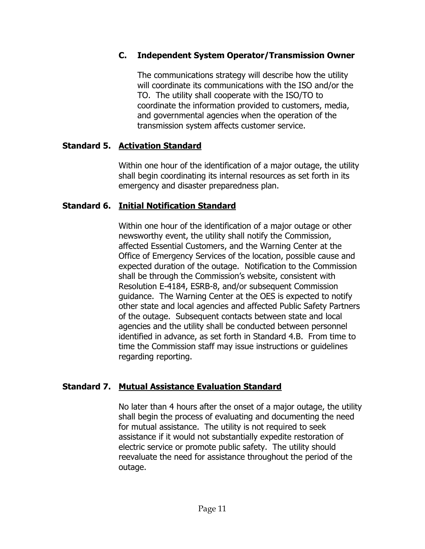## **C. Independent System Operator/Transmission Owner**

The communications strategy will describe how the utility will coordinate its communications with the ISO and/or the TO. The utility shall cooperate with the ISO/TO to coordinate the information provided to customers, media, and governmental agencies when the operation of the transmission system affects customer service.

## **Standard 5. Activation Standard**

Within one hour of the identification of a major outage, the utility shall begin coordinating its internal resources as set forth in its emergency and disaster preparedness plan.

## **Standard 6. Initial Notification Standard**

Within one hour of the identification of a major outage or other newsworthy event, the utility shall notify the Commission, affected Essential Customers, and the Warning Center at the Office of Emergency Services of the location, possible cause and expected duration of the outage. Notification to the Commission shall be through the Commission's website, consistent with Resolution E-4184, ESRB-8, and/or subsequent Commission guidance. The Warning Center at the OES is expected to notify other state and local agencies and affected Public Safety Partners of the outage. Subsequent contacts between state and local agencies and the utility shall be conducted between personnel identified in advance, as set forth in Standard 4.B. From time to time the Commission staff may issue instructions or guidelines regarding reporting.

## **Standard 7. Mutual Assistance Evaluation Standard**

No later than 4 hours after the onset of a major outage, the utility shall begin the process of evaluating and documenting the need for mutual assistance. The utility is not required to seek assistance if it would not substantially expedite restoration of electric service or promote public safety. The utility should reevaluate the need for assistance throughout the period of the outage.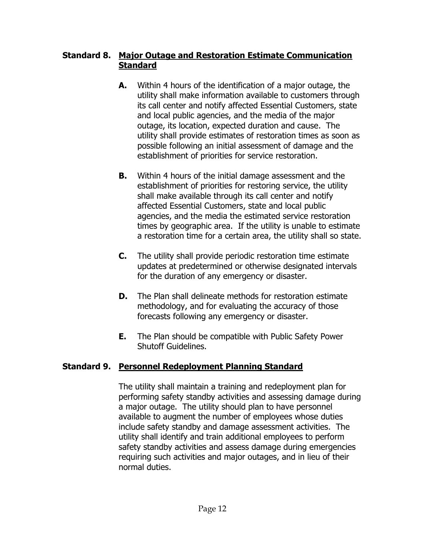#### **Standard 8. Major Outage and Restoration Estimate Communication Standard**

- **A.** Within 4 hours of the identification of a major outage, the utility shall make information available to customers through its call center and notify affected Essential Customers, state and local public agencies, and the media of the major outage, its location, expected duration and cause. The utility shall provide estimates of restoration times as soon as possible following an initial assessment of damage and the establishment of priorities for service restoration.
- **B.** Within 4 hours of the initial damage assessment and the establishment of priorities for restoring service, the utility shall make available through its call center and notify affected Essential Customers, state and local public agencies, and the media the estimated service restoration times by geographic area. If the utility is unable to estimate a restoration time for a certain area, the utility shall so state.
- **C.** The utility shall provide periodic restoration time estimate updates at predetermined or otherwise designated intervals for the duration of any emergency or disaster.
- **D.** The Plan shall delineate methods for restoration estimate methodology, and for evaluating the accuracy of those forecasts following any emergency or disaster.
- **E.** The Plan should be compatible with Public Safety Power Shutoff Guidelines.

## **Standard 9. Personnel Redeployment Planning Standard**

The utility shall maintain a training and redeployment plan for performing safety standby activities and assessing damage during a major outage. The utility should plan to have personnel available to augment the number of employees whose duties include safety standby and damage assessment activities. The utility shall identify and train additional employees to perform safety standby activities and assess damage during emergencies requiring such activities and major outages, and in lieu of their normal duties.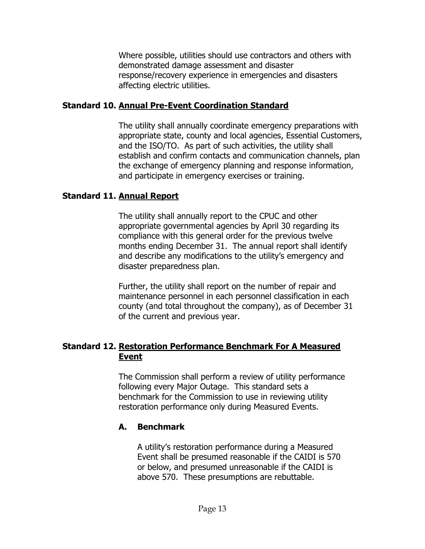Where possible, utilities should use contractors and others with demonstrated damage assessment and disaster response/recovery experience in emergencies and disasters affecting electric utilities.

#### **Standard 10. Annual Pre-Event Coordination Standard**

The utility shall annually coordinate emergency preparations with appropriate state, county and local agencies, Essential Customers, and the ISO/TO. As part of such activities, the utility shall establish and confirm contacts and communication channels, plan the exchange of emergency planning and response information, and participate in emergency exercises or training.

#### **Standard 11. Annual Report**

The utility shall annually report to the CPUC and other appropriate governmental agencies by April 30 regarding its compliance with this general order for the previous twelve months ending December 31. The annual report shall identify and describe any modifications to the utility's emergency and disaster preparedness plan.

Further, the utility shall report on the number of repair and maintenance personnel in each personnel classification in each county (and total throughout the company), as of December 31 of the current and previous year.

## **Standard 12. Restoration Performance Benchmark For A Measured Event**

The Commission shall perform a review of utility performance following every Major Outage. This standard sets a benchmark for the Commission to use in reviewing utility restoration performance only during Measured Events.

## **A. Benchmark**

A utility's restoration performance during a Measured Event shall be presumed reasonable if the CAIDI is 570 or below, and presumed unreasonable if the CAIDI is above 570. These presumptions are rebuttable.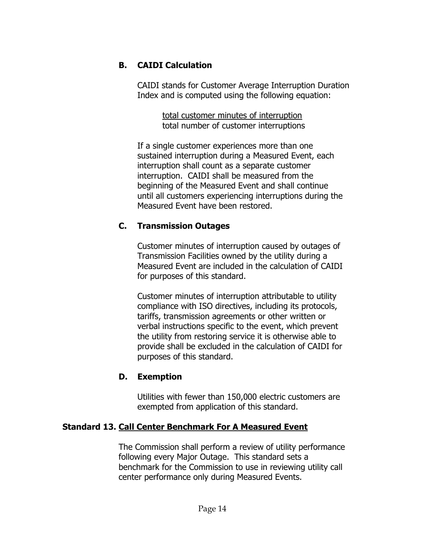## **B. CAIDI Calculation**

CAIDI stands for Customer Average Interruption Duration Index and is computed using the following equation:

> total customer minutes of interruption total number of customer interruptions

If a single customer experiences more than one sustained interruption during a Measured Event, each interruption shall count as a separate customer interruption. CAIDI shall be measured from the beginning of the Measured Event and shall continue until all customers experiencing interruptions during the Measured Event have been restored.

## **C. Transmission Outages**

Customer minutes of interruption caused by outages of Transmission Facilities owned by the utility during a Measured Event are included in the calculation of CAIDI for purposes of this standard.

Customer minutes of interruption attributable to utility compliance with ISO directives, including its protocols, tariffs, transmission agreements or other written or verbal instructions specific to the event, which prevent the utility from restoring service it is otherwise able to provide shall be excluded in the calculation of CAIDI for purposes of this standard.

## **D. Exemption**

Utilities with fewer than 150,000 electric customers are exempted from application of this standard.

## **Standard 13. Call Center Benchmark For A Measured Event**

The Commission shall perform a review of utility performance following every Major Outage. This standard sets a benchmark for the Commission to use in reviewing utility call center performance only during Measured Events.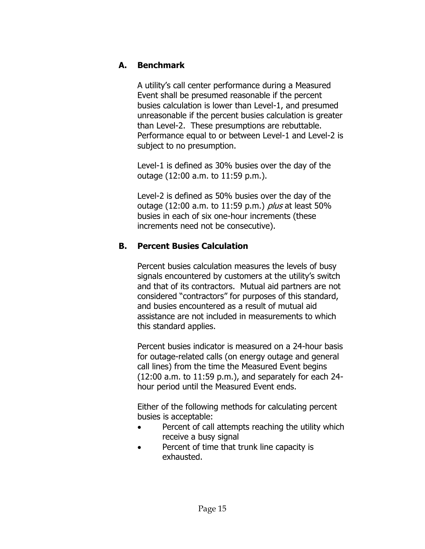## **A. Benchmark**

A utility's call center performance during a Measured Event shall be presumed reasonable if the percent busies calculation is lower than Level-1, and presumed unreasonable if the percent busies calculation is greater than Level-2. These presumptions are rebuttable. Performance equal to or between Level-1 and Level-2 is subject to no presumption.

Level-1 is defined as 30% busies over the day of the outage (12:00 a.m. to 11:59 p.m.).

Level-2 is defined as 50% busies over the day of the outage (12:00 a.m. to 11:59 p.m.) *plus* at least 50% busies in each of six one-hour increments (these increments need not be consecutive).

## **B. Percent Busies Calculation**

Percent busies calculation measures the levels of busy signals encountered by customers at the utility's switch and that of its contractors. Mutual aid partners are not considered "contractors" for purposes of this standard, and busies encountered as a result of mutual aid assistance are not included in measurements to which this standard applies.

Percent busies indicator is measured on a 24-hour basis for outage-related calls (on energy outage and general call lines) from the time the Measured Event begins (12:00 a.m. to 11:59 p.m.), and separately for each 24 hour period until the Measured Event ends.

Either of the following methods for calculating percent busies is acceptable:

- Percent of call attempts reaching the utility which receive a busy signal
- Percent of time that trunk line capacity is exhausted.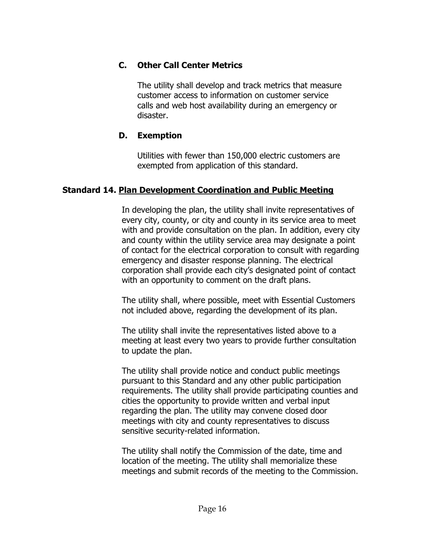## **C. Other Call Center Metrics**

The utility shall develop and track metrics that measure customer access to information on customer service calls and web host availability during an emergency or disaster.

#### **D. Exemption**

Utilities with fewer than 150,000 electric customers are exempted from application of this standard.

#### **Standard 14. Plan Development Coordination and Public Meeting**

In developing the plan, the utility shall invite representatives of every city, county, or city and county in its service area to meet with and provide consultation on the plan. In addition, every city and county within the utility service area may designate a point of contact for the electrical corporation to consult with regarding emergency and disaster response planning. The electrical corporation shall provide each city's designated point of contact with an opportunity to comment on the draft plans.

The utility shall, where possible, meet with Essential Customers not included above, regarding the development of its plan.

The utility shall invite the representatives listed above to a meeting at least every two years to provide further consultation to update the plan.

The utility shall provide notice and conduct public meetings pursuant to this Standard and any other public participation requirements. The utility shall provide participating counties and cities the opportunity to provide written and verbal input regarding the plan. The utility may convene closed door meetings with city and county representatives to discuss sensitive security-related information.

The utility shall notify the Commission of the date, time and location of the meeting. The utility shall memorialize these meetings and submit records of the meeting to the Commission.